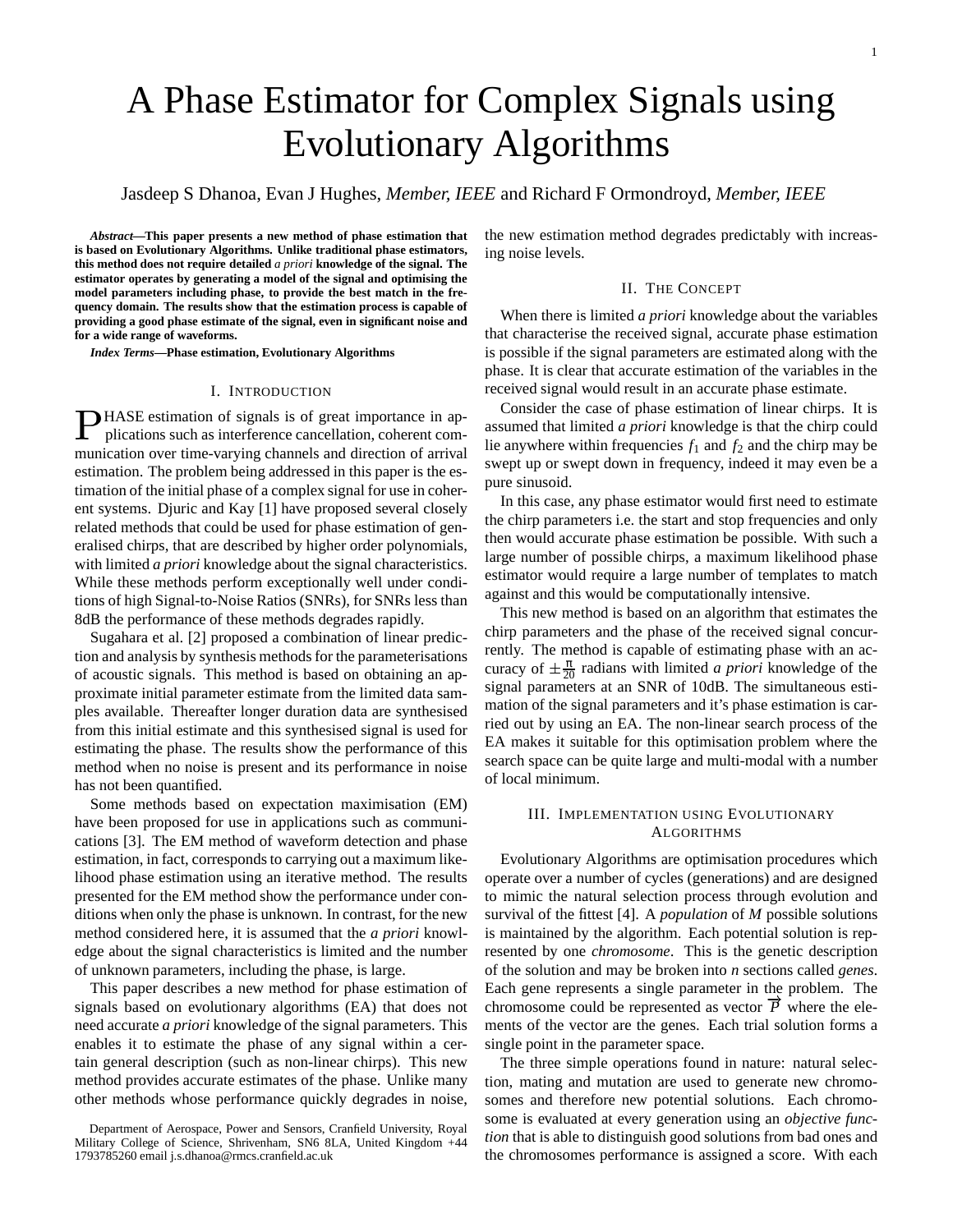# A Phase Estimator for Complex Signals using Evolutionary Algorithms

Jasdeep S Dhanoa, Evan J Hughes, *Member, IEEE* and Richard F Ormondroyd, *Member, IEEE*

*Abstract—***This paper presents a new method of phase estimation that is based on Evolutionary Algorithms. Unlike traditional phase estimators, this method does not require detailed** *a priori* **knowledge of the signal. The estimator operates by generating a model of the signal and optimising the model parameters including phase, to provide the best match in the frequency domain. The results show that the estimation process is capable of providing a good phase estimate of the signal, even in significant noise and for a wide range of waveforms.**

*Index Terms—***Phase estimation, Evolutionary Algorithms**

### I. INTRODUCTION

**PHASE** estimation of signals is of great importance in applications such as interference cancellation, coherent communication over time-varying channels and direction of arrival estimation. The problem being addressed in this paper is the estimation of the initial phase of a complex signal for use in coherent systems. Djuric and Kay [1] have proposed several closely related methods that could be used for phase estimation of generalised chirps, that are described by higher order polynomials, with limited *a priori* knowledge about the signal characteristics. While these methods perform exceptionally well under conditions of high Signal-to-Noise Ratios (SNRs), for SNRs less than 8dB the performance of these methods degrades rapidly.

Sugahara et al. [2] proposed a combination of linear prediction and analysis by synthesis methods for the parameterisations of acoustic signals. This method is based on obtaining an approximate initial parameter estimate from the limited data samples available. Thereafter longer duration data are synthesised from this initial estimate and this synthesised signal is used for estimating the phase. The results show the performance of this method when no noise is present and its performance in noise has not been quantified.

Some methods based on expectation maximisation (EM) have been proposed for use in applications such as communications [3]. The EM method of waveform detection and phase estimation, in fact, corresponds to carrying out a maximum likelihood phase estimation using an iterative method. The results presented for the EM method show the performance under conditions when only the phase is unknown. In contrast, for the new method considered here, it is assumed that the *a priori* knowledge about the signal characteristics is limited and the number of unknown parameters, including the phase, is large.

This paper describes a new method for phase estimation of signals based on evolutionary algorithms (EA) that does not need accurate *a priori* knowledge of the signal parameters. This enables it to estimate the phase of any signal within a certain general description (such as non-linear chirps). This new method provides accurate estimates of the phase. Unlike many other methods whose performance quickly degrades in noise, the new estimation method degrades predictably with increasing noise levels.

### II. THE CONCEPT

When there is limited *a priori* knowledge about the variables that characterise the received signal, accurate phase estimation is possible if the signal parameters are estimated along with the phase. It is clear that accurate estimation of the variables in the received signal would result in an accurate phase estimate.

Consider the case of phase estimation of linear chirps. It is assumed that limited *a priori* knowledge is that the chirp could lie anywhere within frequencies  $f_1$  and  $f_2$  and the chirp may be swept up or swept down in frequency, indeed it may even be a pure sinusoid.

In this case, any phase estimator would first need to estimate the chirp parameters i.e. the start and stop frequencies and only then would accurate phase estimation be possible. With such a large number of possible chirps, a maximum likelihood phase estimator would require a large number of templates to match against and this would be computationally intensive.

This new method is based on an algorithm that estimates the chirp parameters and the phase of the received signal concurrently. The method is capable of estimating phase with an accuracy of  $\pm \frac{\pi}{20}$  radians with limited *a priori* knowledge of the signal parameters at an SNR of 10dB. The simultaneous estimation of the signal parameters and it's phase estimation is carried out by using an EA. The non-linear search process of the EA makes it suitable for this optimisation problem where the search space can be quite large and multi-modal with a number of local minimum.

## III. IMPLEMENTATION USING EVOLUTIONARY ALGORITHMS

Evolutionary Algorithms are optimisation procedures which operate over a number of cycles (generations) and are designed to mimic the natural selection process through evolution and survival of the fittest [4]. A *population* of *M* possible solutions is maintained by the algorithm. Each potential solution is represented by one *chromosome*. This is the genetic description of the solution and may be broken into *n* sections called *genes*. Each gene represents a single parameter in the problem. The chromosome could be represented as vector  $\vec{P}$  where the elements of the vector are the genes. Each trial solution forms a single point in the parameter space.

The three simple operations found in nature: natural selection, mating and mutation are used to generate new chromosomes and therefore new potential solutions. Each chromosome is evaluated at every generation using an *objective function* that is able to distinguish good solutions from bad ones and the chromosomes performance is assigned a score. With each

Department of Aerospace, Power and Sensors, Cranfield University, Royal Military College of Science, Shrivenham, SN6 8LA, United Kingdom +44 1793785260 email j.s.dhanoa@rmcs.cranfield.ac.uk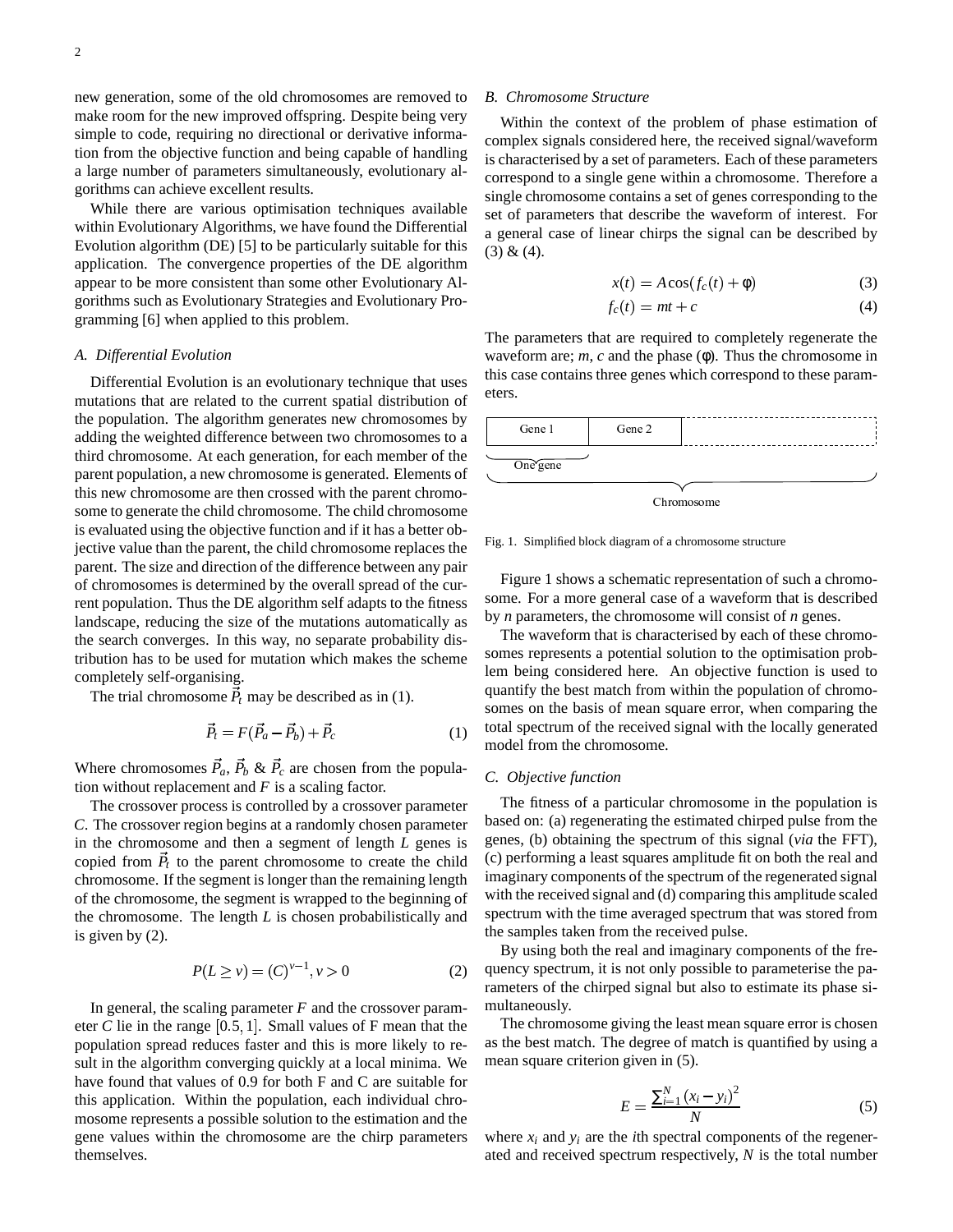new generation, some of the old chromosomes are removed to make room for the new improved offspring. Despite being very simple to code, requiring no directional or derivative information from the objective function and being capable of handling a large number of parameters simultaneously, evolutionary algorithms can achieve excellent results.

While there are various optimisation techniques available within Evolutionary Algorithms, we have found the Differential Evolution algorithm (DE) [5] to be particularly suitable for this application. The convergence properties of the DE algorithm appear to be more consistent than some other Evolutionary Algorithms such as Evolutionary Strategies and Evolutionary Programming [6] when applied to this problem.

#### *A. Differential Evolution*

Differential Evolution is an evolutionary technique that uses mutations that are related to the current spatial distribution of the population. The algorithm generates new chromosomes by adding the weighted difference between two chromosomes to a third chromosome. At each generation, for each member of the parent population, a new chromosome is generated. Elements of this new chromosome are then crossed with the parent chromosome to generate the child chromosome. The child chromosome is evaluated using the objective function and if it has a better objective value than the parent, the child chromosome replaces the parent. The size and direction of the difference between any pair of chromosomes is determined by the overall spread of the current population. Thus the DE algorithm self adapts to the fitness landscape, reducing the size of the mutations automatically as the search converges. In this way, no separate probability distribution has to be used for mutation which makes the scheme completely self-organising.

The trial chromosome  $\vec{P}_t$  may be described as in (1).

$$
\vec{P}_t = F(\vec{P}_a - \vec{P}_b) + \vec{P}_c \tag{1}
$$

Where chromosomes  $\vec{P}_a$ ,  $\vec{P}_b \& \vec{P}_c$  are chosen from the population without replacement and *F* is a scaling factor.

The crossover process is controlled by a crossover parameter *C*. The crossover region begins at a randomly chosen parameter in the chromosome and then a segment of length *L* genes is copied from  $\vec{P}_t$  to the parent chromosome to create the child chromosome. If the segment is longer than the remaining length of the chromosome, the segment is wrapped to the beginning of the chromosome. The length *L* is chosen probabilistically and is given by (2).

$$
P(L \ge v) = (C)^{v-1}, v > 0
$$
 (2)

In general, the scaling parameter *F* and the crossover parameter  $C$  lie in the range  $[0.5, 1]$ . Small values of F mean that the population spread reduces faster and this is more likely to result in the algorithm converging quickly at a local minima. We have found that values of 0.9 for both F and C are suitable for this application. Within the population, each individual chromosome represents a possible solution to the estimation and the gene values within the chromosome are the chirp parameters themselves.

#### *B. Chromosome Structure*

Within the context of the problem of phase estimation of complex signals considered here, the received signal/waveform is characterised by a set of parameters. Each of these parameters correspond to a single gene within a chromosome. Therefore a single chromosome contains a set of genes corresponding to the set of parameters that describe the waveform of interest. For a general case of linear chirps the signal can be described by  $(3) & (4)$ .

$$
x(t) = A\cos(f_c(t) + \phi) \tag{3}
$$

$$
f_c(t) = mt + c \tag{4}
$$

The parameters that are required to completely regenerate the waveform are; *m*, *c* and the phase (φ). Thus the chromosome in this case contains three genes which correspond to these parameters.

| Gene 1   | Gene 2 |                        |
|----------|--------|------------------------|
| One gene |        |                        |
|          |        | <sup>n</sup> hromosome |

Fig. 1. Simplified block diagram of a chromosome structure

Figure 1 shows a schematic representation of such a chromosome. For a more general case of a waveform that is described by *n* parameters, the chromosome will consist of *n* genes.

The waveform that is characterised by each of these chromosomes represents a potential solution to the optimisation problem being considered here. An objective function is used to quantify the best match from within the population of chromosomes on the basis of mean square error, when comparing the total spectrum of the received signal with the locally generated model from the chromosome.

## *C. Objective function*

The fitness of a particular chromosome in the population is based on: (a) regenerating the estimated chirped pulse from the genes, (b) obtaining the spectrum of this signal (*via* the FFT), (c) performing a least squares amplitude fit on both the real and imaginary components of the spectrum of the regenerated signal with the received signal and (d) comparing this amplitude scaled spectrum with the time averaged spectrum that was stored from the samples taken from the received pulse.

By using both the real and imaginary components of the frequency spectrum, it is not only possible to parameterise the parameters of the chirped signal but also to estimate its phase simultaneously.

The chromosome giving the least mean square error is chosen as the best match. The degree of match is quantified by using a mean square criterion given in (5).

$$
E = \frac{\sum_{i=1}^{N} (x_i - y_i)^2}{N}
$$
 (5)

where  $x_i$  and  $y_i$  are the *i*th spectral components of the regenerated and received spectrum respectively, *N* is the total number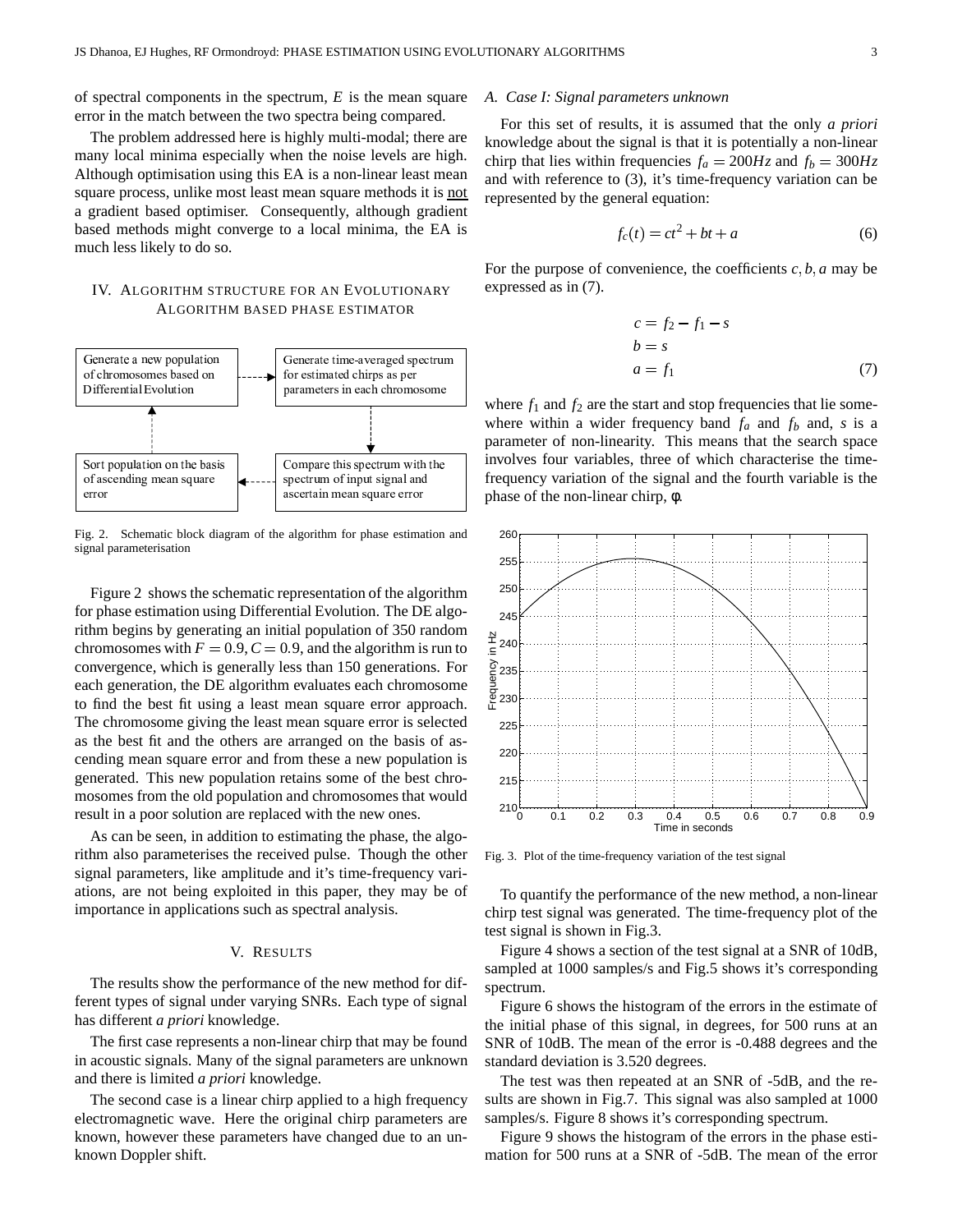of spectral components in the spectrum,  $E$  is the mean square error in the match between the two spectra being compared.

The problem addressed here is highly multi-modal; there are many local minima especially when the noise levels are high. Although optimisation using this EA is a non-linear least mean square process, unlike most least mean square methods it is not a gradient based optimiser. Consequently, although gradient based methods might converge to a local minima, the EA is much less likely to do so.

## IV. ALGORITHM STRUCTURE FOR AN EVOLUTIONARY ALGORITHM BASED PHASE ESTIMATOR



Fig. 2. Schematic block diagram of the algorithm for phase estimation and signal parameterisation

Figure 2 shows the schematic representation of the algorithm for phase estimation using Differential Evolution. The DE algorithm begins by generating an initial population of 350 random chromosomes with  $F = 0.9$ ,  $C = 0.9$ , and the algorithm is run to convergence, which is generally less than 150 generations. For each generation, the DE algorithm evaluates each chromosome to find the best fit using a least mean square error approach. The chromosome giving the least mean square error is selected as the best fit and the others are arranged on the basis of ascending mean square error and from these a new population is generated. This new population retains some of the best chromosomes from the old population and chromosomes that would result in a poor solution are replaced with the new ones.

As can be seen, in addition to estimating the phase, the algorithm also parameterises the received pulse. Though the other signal parameters, like amplitude and it's time-frequency variations, are not being exploited in this paper, they may be of importance in applications such as spectral analysis.

#### V. RESULTS

The results show the performance of the new method for different types of signal under varying SNRs. Each type of signal has different *a priori* knowledge.

The first case represents a non-linear chirp that may be found in acoustic signals. Many of the signal parameters are unknown and there is limited *a priori* knowledge.

The second case is a linear chirp applied to a high frequency electromagnetic wave. Here the original chirp parameters are known, however these parameters have changed due to an unknown Doppler shift.

#### A. Case I: Signal parameters unknown

For this set of results, it is assumed that the only *a priori* knowledge about the signal is that it is potentially a non-linear chirp that lies within frequencies  $f_a = 200Hz$  and  $f_b = 300Hz$ and with reference to  $(3)$ , it's time-frequency variation can be represented by the general equation:

$$
f_c(t) = ct^2 + bt + a \tag{6}
$$

For the purpose of convenience, the coefficients  $c, b, a$  may be expressed as in (7).

$$
c = f_2 - f_1 - s
$$
  
\n
$$
b = s
$$
  
\n
$$
a = f_1
$$
\n(7)

where  $f_1$  and  $f_2$  are the start and stop frequencies that lie somewhere within a wider frequency band  $f_a$  and  $f_b$  and, s is a parameter of non-linearity. This means that the search space involves four variables, three of which characterise the timefrequency variation of the signal and the fourth variable is the phase of the non-linear chirp,  $\phi$ .



Fig. 3. Plot of the time-frequency variation of the test signal

To quantify the performance of the new method, a non-linear chirp test signal was generated. The time-frequency plot of the test signal is shown in Fig.3.

Figure 4 shows a section of the test signal at a SNR of 10dB, sampled at 1000 samples/s and Fig.5 shows it's corresponding spectrum.

Figure 6 shows the histogram of the errors in the estimate of the initial phase of this signal, in degrees, for 500 runs at an SNR of 10dB. The mean of the error is -0.488 degrees and the standard deviation is 3.520 degrees.

The test was then repeated at an SNR of -5dB, and the results are shown in Fig.7. This signal was also sampled at 1000 samples/s. Figure 8 shows it's corresponding spectrum.

Figure 9 shows the histogram of the errors in the phase estimation for 500 runs at a SNR of -5dB. The mean of the error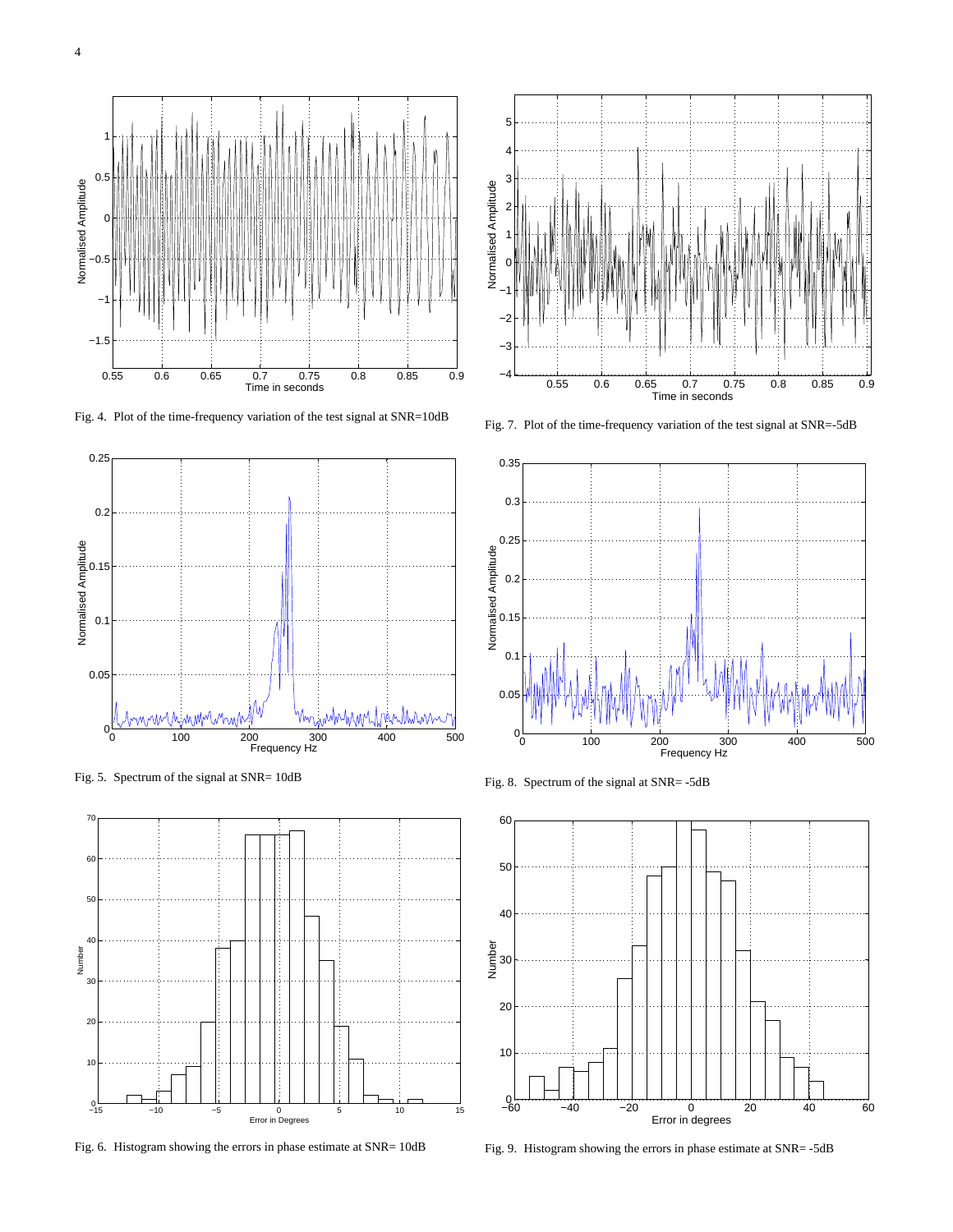

Fig. 4. Plot of the time-frequency variation of the test signal at SNR=10dB



Fig. 5. Spectrum of the signal at SNR= 10dB



Fig. 6. Histogram showing the errors in phase estimate at SNR= 10dB



Fig. 7. Plot of the time-frequency variation of the test signal at SNR=-5dB



Fig. 8. Spectrum of the signal at SNR= -5dB



Fig. 9. Histogram showing the errors in phase estimate at SNR= -5dB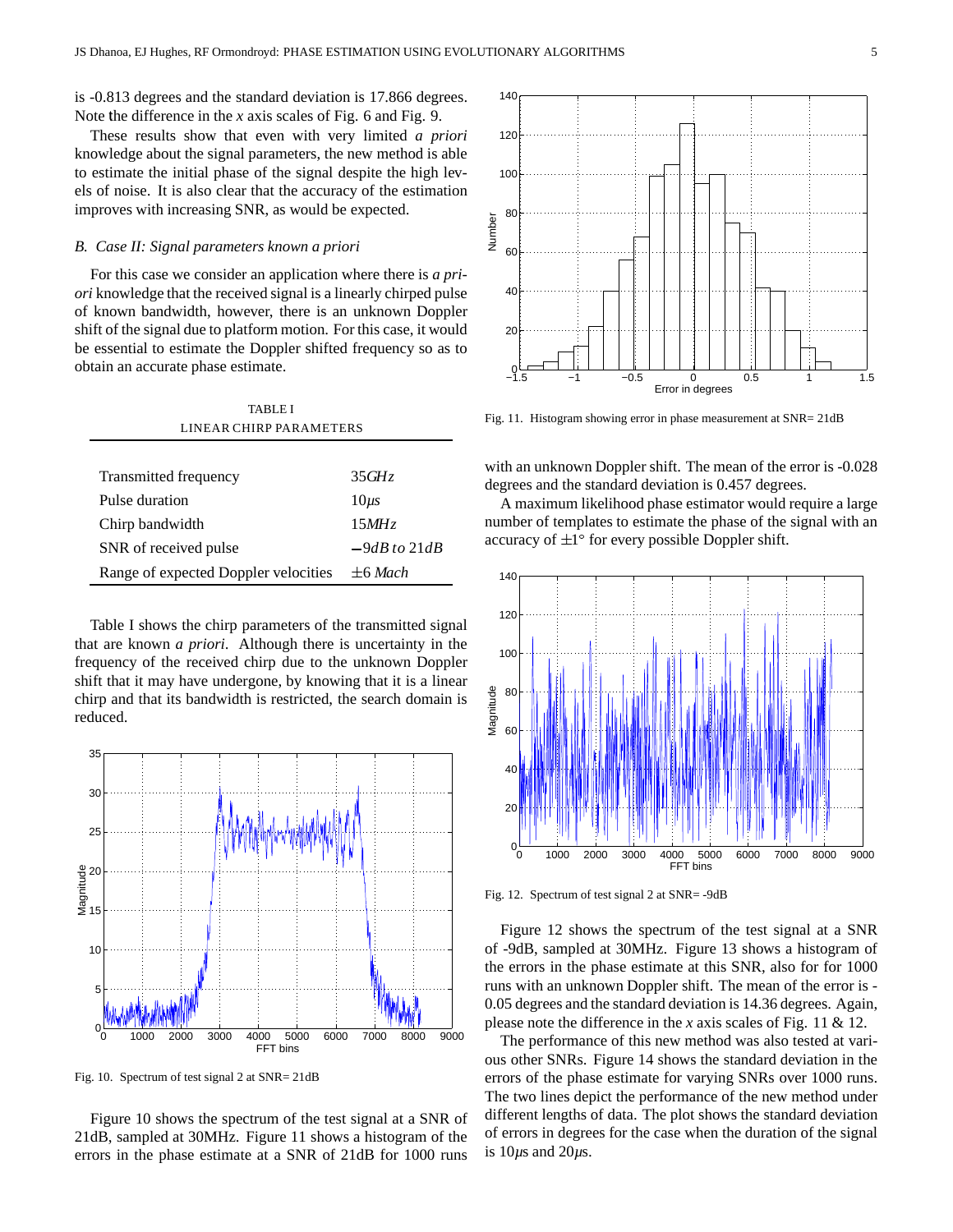is -0.813 degrees and the standard deviation is 17.866 degrees. Note the difference in the  $x$  axis scales of Fig. 6 and Fig. 9.

These results show that even with very limited *a priori* knowledge about the signal parameters, the new method is able to estimate the initial phase of the signal despite the high levels of noise. It is also clear that the accuracy of the estimation improves with increasing SNR, as would be expected.

#### *B. Case II: Signal parameters known a priori*

For this case we consider an application where there is *a priori* knowledge that the received signal is a linearly chirped pulse of known bandwidth, however, there is an unknown Doppler shift of the signal due to platform motion. For this case, it would be essential to estimate the Doppler shifted frequency so as to obtain an accurate phase estimate.

| TABLE I                              |                  |  |  |
|--------------------------------------|------------------|--|--|
| LINEAR CHIRP PAR AMETERS             |                  |  |  |
|                                      |                  |  |  |
| Transmitted frequency                | 35GHz            |  |  |
| Pulse duration                       | $10\mu s$        |  |  |
| Chirp bandwidth                      | 15MHz            |  |  |
| SNR of received pulse                | $-9dB$ to $21dB$ |  |  |
| Range of expected Doppler velocities | $+6$ Mach        |  |  |

Table I shows the chirp parameters of the transmitted signal that are known *a priori*. Although there is uncertainty in the frequency of the received chirp due to the unknown Doppler shift that it may have undergone, by knowing that it is a linear chirp and that its bandwidth is restricted, the search domain is reduced.



Fig. 10. Spectrum of test signal 2 at SNR= 21dB

Figure 10 shows the spectrum of the test signal at a SNR of 21dB, sampled at 30MHz. Figure 11 shows a histogram of the errors in the phase estimate at a SNR of 21dB for 1000 runs



Fig. 11. Histogram showing error in phase measurement at SNR= 21dB

with an unknown Doppler shift. The mean of the error is -0.028 degrees and the standard deviation is 0.457 degrees.

A maximum likelihood phase estimator would require a large number of templates to estimate the phase of the signal with an accuracy of  $\pm 1^\circ$  for every possible Doppler shift.



Fig. 12. Spectrum of test signal 2 at SNR= -9dB

Figure 12 shows the spectrum of the test signal at a SNR of -9dB, sampled at 30MHz. Figure 13 shows a histogram of the errors in the phase estimate at this SNR, also for for 1000 runs with an unknown Doppler shift. The mean of the error is - 0.05 degrees and the standard deviation is 14.36 degrees. Again, please note the difference in the *x* axis scales of Fig. 11 & 12.

The performance of this new method was also tested at various other SNRs. Figure 14 shows the standard deviation in the errors of the phase estimate for varying SNRs over 1000 runs. The two lines depict the performance of the new method under different lengths of data. The plot shows the standard deviation of errors in degrees for the case when the duration of the signal is 10*µ*s and 20*µ*s.